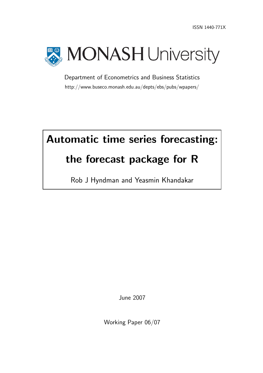

Department of Econometrics and Business Statistics http://www.buseco.monash.edu.au/depts/ebs/pubs/wpapers/

# Automatic time series forecasting:

# the forecast package for R

Rob J Hyndman and Yeasmin Khandakar

June 2007

Working Paper 06/07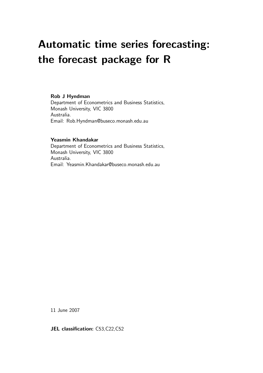# Automatic time series forecasting: the forecast package for R

#### Rob J Hyndman

Department of Econometrics and Business Statistics, Monash University, VIC 3800 Australia. Email: Rob.Hyndman@buseco.monash.edu.au

#### Yeasmin Khandakar

Department of Econometrics and Business Statistics, Monash University, VIC 3800 Australia. Email: Yeasmin.Khandakar@buseco.monash.edu.au

11 June 2007

#### JEL classification: C53,C22,C52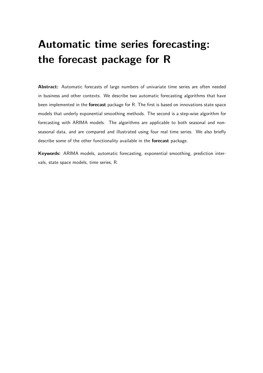# Automatic time series forecasting: the forecast package for R

Abstract: Automatic forecasts of large numbers of univariate time series are often needed in business and other contexts. We describe two automatic forecasting algorithms that have been implemented in the forecast package for R. The first is based on innovations state space models that underly exponential smoothing methods. The second is a step-wise algorithm for forecasting with ARIMA models. The algorithms are applicable to both seasonal and nonseasonal data, and are compared and illustrated using four real time series. We also briefly describe some of the other functionality available in the forecast package.

Keywords: ARIMA models, automatic forecasting, exponential smoothing, prediction intervals, state space models, time series, R.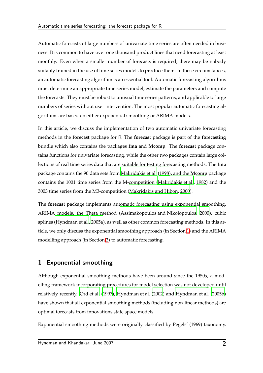Automatic forecasts of large numbers of univariate time series are often needed in business. It is common to have over one thousand product lines that need forecasting at least monthly. Even when a smaller number of forecasts is required, there may be nobody suitably trained in the use of time series models to produce them. In these circumstances, an automatic forecasting algorithm is an essential tool. Automatic forecasting algorithms must determine an appropriate time series model, estimate the parameters and compute the forecasts. They must be robust to unusual time series patterns, and applicable to large numbers of series without user intervention. The most popular automatic forecasting algorithms are based on either exponential smoothing or ARIMA models.

In this article, we discuss the implementation of two automatic univariate forecasting methods in the **forecast** package for R. The **forecast** package is part of the **forecasting** bundle which also contains the packages **fma** and **Mcomp**. The **forecast** package contains functions for univariate forecasting, while the other two packages contain large collections of real time series data that are suitable for testing forecasting methods. The **fma** package contains the 90 data sets from [Makridakis et al.](#page-30-0) [\(1998](#page-30-0)), and the **Mcomp** package contains the 1001 time series from the M-competition [\(Makridakis et al., 1982](#page-30-1)) and the 3003 time series from the M3-competition [\(Makridakis and Hibon](#page-30-2), [2000](#page-30-2)).

The **forecast** package implements automatic forecasting using exponential smoothing, ARIMA models, the Theta method [\(Assimakopoulos and Nikolopoulos, 2000](#page-28-0)), cubic splines [\(Hyndman et al.](#page-29-0), [2005a](#page-29-0)), as well as other common forecasting methods. In this article, we only discuss the exponential smoothing approach (in Section [1\)](#page-3-0) and the ARIMA modelling approach (in Section [2\)](#page-15-0) to automatic forecasting.

# <span id="page-3-0"></span>1 Exponential smoothing

Although exponential smoothing methods have been around since the 1950s, a modelling framework incorporating procedures for model selection was not developed until relatively recently. [Ord et al.](#page-30-3) [\(1997](#page-30-3)), [Hyndman et al.](#page-29-1) [\(2002](#page-29-1)) and [Hyndman et al. \(2005b](#page-29-2)) have shown that all exponential smoothing methods (including non-linear methods) are optimal forecasts from innovations state space models.

Exponential smoothing methods were originally classified by Pegels' (1969) taxonomy.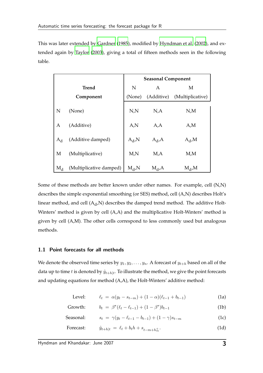This was later extended by [Gardner](#page-28-1) [\(1985](#page-28-1)), modified by [Hyndman](#page-29-1) et al. [\(2002](#page-29-1)), and extended again by [Taylor \(2003\)](#page-30-4), giving a total of fifteen methods seen in the following table.

|       |                         |                    | <b>Seasonal Component</b> |                  |
|-------|-------------------------|--------------------|---------------------------|------------------|
|       | Trend                   | N                  | A                         | М                |
|       | Component               | (None)             | (Additive)                | (Multiplicative) |
| N     | (None)                  | N,N                | N.A                       | N,M              |
| A     | (Additive)              | A,N                | A, A                      | A,M              |
| $A_d$ | (Additive damped)       | $A_d$ <sub>N</sub> | $A_d$ , $A$               | $A_d$ , M        |
| M     | (Multiplicative)        | M,N                | M,A                       | M,M              |
| $M_d$ | (Multiplicative damped) | $M_d$ , N          | $M_d$ ,A                  | $M_d$ , $M$      |

Some of these methods are better known under other names. For example, cell (N,N) describes the simple exponential smoothing (or SES) method, cell (A,N) describes Holt's linear method, and cell  $({\rm A_{d}}$ ,N) describes the damped trend method. The additive Holt-Winters' method is given by cell (A,A) and the multiplicative Holt-Winters' method is given by cell (A,M). The other cells correspond to less commonly used but analogous methods.

#### 1.1 Point forecasts for all methods

We denote the observed time series by  $y_1, y_2, \ldots, y_n$ . A forecast of  $y_{t+h}$  based on all of the data up to time  $t$  is denoted by  $\hat{y}_{t+h|t}.$  To illustrate the method, we give the point forecasts and updating equations for method (A,A), the Holt-Winters' additive method:

| Level: |  | $\ell_t = \alpha(y_t - s_{t-m}) + (1 - \alpha)(\ell_{t-1} + b_{t-1})$ |  |  | (1a) |
|--------|--|-----------------------------------------------------------------------|--|--|------|
|--------|--|-----------------------------------------------------------------------|--|--|------|

| Growth: |  | $b_t = \beta^*(\ell_t - \ell_{t-1}) + (1 - \beta^*)b_{t-1}$ | (1b) |
|---------|--|-------------------------------------------------------------|------|
|---------|--|-------------------------------------------------------------|------|

Seasonal:  $s_t = \gamma(y_t - \ell_{t-1} - b_{t-1}) + (1 - \gamma)s_{t-m}$  (1c)

$$
\text{Forecast:} \qquad \hat{y}_{t+h|t} = \ell_t + b_t h + s_{t-m+h_m^+}.\tag{1d}
$$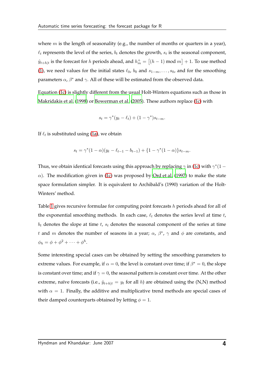where  $m$  is the length of seasonality (e.g., the number of months or quarters in a year),  $\ell_t$  represents the level of the series,  $b_t$  denotes the growth,  $s_t$  is the seasonal component,  $\hat{y}_{t+h|t}$  is the forecast for h periods ahead, and  $h_m^+ = [(h-1) \text{ mod } m] + 1$ . To use method [\(1\)](#page-9-0), we need values for the initial states  $\ell_0$ ,  $b_0$  and  $s_{1-m}, \ldots, s_0$ , and for the smoothing parameters  $\alpha$ ,  $\beta^*$  and  $\gamma$ . All of these will be estimated from the observed data.

Equation [\(1c\)](#page-9-0) is slightly different from the usual Holt-Winters equations such as those in [Makridakis et al. \(1998](#page-30-0)) or [Bowerman et al. \(2005](#page-28-2)). These authors replace [\(1c\)](#page-9-0) with

$$
s_t = \gamma^*(y_t - \ell_t) + (1 - \gamma^*)s_{t-m}.
$$

If  $\ell_t$  is substituted using [\(1a\)](#page-9-0), we obtain

$$
s_t = \gamma^*(1-\alpha)(y_t - \ell_{t-1} - b_{t-1}) + \{1 - \gamma^*(1-\alpha)\}_{s_{t-m}}.
$$

Thus, we obtain identical forecasts using this approach by replacing  $\gamma$  in [\(1c\)](#page-9-0) with  $\gamma^*(1-\gamma)$  $\alpha$ ). The modification given in [\(1c\)](#page-9-0) was proposed by [Ord et al. \(1997\)](#page-30-3) to make the state space formulation simpler. It is equivalent to Archibald's (1990) variation of the Holt-Winters' method.

Table [1](#page-6-0) gives recursive formulae for computing point forecasts  $h$  periods ahead for all of the exponential smoothing methods. In each case,  $\ell_t$  denotes the series level at time  $t$ ,  $b_t$  denotes the slope at time  $t$ ,  $s_t$  denotes the seasonal component of the series at time t and m denotes the number of seasons in a year;  $\alpha$ ,  $\beta^*$ ,  $\gamma$  and  $\phi$  are constants, and  $\phi_h = \phi + \phi^2 + \cdots + \phi^h.$ 

Some interesting special cases can be obtained by setting the smoothing parameters to extreme values. For example, if  $\alpha = 0$ , the level is constant over time; if  $\beta^* = 0$ , the slope is constant over time; and if  $\gamma = 0$ , the seasonal pattern is constant over time. At the other extreme, naïve forecasts (i.e.,  $\hat{y}_{t+h|t} = y_t$  for all h) are obtained using the (N,N) method with  $\alpha = 1$ . Finally, the additive and multiplicative trend methods are special cases of their damped counterparts obtained by letting  $\phi = 1$ .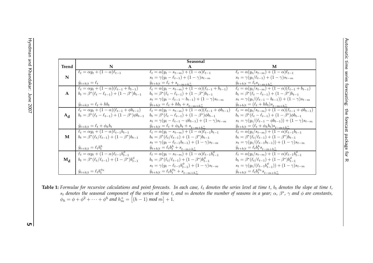| <b>Trend</b>            |                                 |
|-------------------------|---------------------------------|
| $\overline{\mathbf{N}}$ | ł                               |
|                         | $\ddot{\cdot}$<br>$\frac{l}{l}$ |
| A                       |                                 |
|                         | Į                               |
| $A_d$                   | $\frac{l}{l}$                   |
|                         |                                 |

Hyndman and Khandakar: June 2007

Hyndman and Khandakar: June 2007

|              |                                                                  | Seasonal                                                                                                                     |                                                                                                                             |
|--------------|------------------------------------------------------------------|------------------------------------------------------------------------------------------------------------------------------|-----------------------------------------------------------------------------------------------------------------------------|
| <b>Trend</b> | N                                                                |                                                                                                                              | M                                                                                                                           |
|              | $\ell_t = \alpha y_t + (1-\alpha)\ell_{t-1}$                     | $\ell_t = \alpha(y_t - s_{t-m}) + \overline{(1-\alpha)\ell_{t-1}}$                                                           | $\ell_t = \alpha(y_t/s_{t-m}) + (1-\alpha)\ell_{t-1}$                                                                       |
| N            |                                                                  | $s_t = \gamma(y_t - \ell_{t-1}) + (1 - \gamma)s_{t-m}$                                                                       | $s_t = \gamma(y_t/\ell_{t-1}) + (1-\gamma)s_{t-m}$                                                                          |
|              | $\hat{y}_{t+h t} = \ell_t$                                       | $\hat{y}_{t+h t} = \ell_t + s_{t-m+h_m^+}$                                                                                   | $\hat{y}_{t+h t} = \ell_t s_{t-m+h_m^+}$                                                                                    |
|              | $\ell_t = \alpha y_t + (1 - \alpha)(\ell_{t-1} + b_{t-1})$       | $\ell_t = \alpha(y_t - s_{t-m}) + (1 - \alpha)(\ell_{t-1} + b_{t-1})$                                                        | $\ell_t = \alpha(y_t/s_{t-m}) + (1-\alpha)(\ell_{t-1} + b_{t-1})$                                                           |
| $\mathbf{A}$ | $b_t = \beta^*(\ell_t - \ell_{t-1}) + (1 - \beta^*)b_{t-1}$      | $b_t = \beta^*(\ell_t - \ell_{t-1}) + (1 - \beta^*)b_{t-1}$                                                                  | $b_t = \beta^*(\ell_t - \ell_{t-1}) + (1 - \beta^*)b_{t-1}$                                                                 |
|              |                                                                  | $s_t = \gamma(y_t - \ell_{t-1} - b_{t-1}) + (1 - \gamma)s_{t-m}$                                                             | $s_t = \gamma(y_t/(\ell_{t-1} - b_{t-1})) + (1 - \gamma)s_{t-m}$                                                            |
|              | $\hat{y}_{t+h t} = \ell_t + hb_t$                                | $\hat{y}_{t+h t} = \ell_t + hb_t + s_{t-m+h_m^+}$                                                                            | $\hat{y}_{t+h t} = (\ell_t + hb_t) s_{t-m+h_m^+}$                                                                           |
|              | $\ell_t = \alpha y_t + (1 - \alpha)(\ell_{t-1} + \phi b_{t-1})$  | $\ell_t = \alpha(y_t - s_{t-m}) + (1 - \alpha)(\ell_{t-1} + \phi b_{t-1})$                                                   | $\ell_t = \alpha(y_t/s_{t-m}) + (1-\alpha)(\ell_{t-1} + \phi b_{t-1})$                                                      |
| $A_d$        | $b_t = \beta^*(\ell_t - \ell_{t-1}) + (1 - \beta^*)\phi b_{t-1}$ | $b_t = \beta^*(\ell_t - \ell_{t-1}) + (1 - \beta^*)\phi b_{t-1}$                                                             | $b_t = \beta^*(\ell_t - \ell_{t-1}) + (1 - \beta^*)\phi b_{t-1}$                                                            |
|              |                                                                  | $s_t = \gamma(y_t - \ell_{t-1} - \phi b_{t-1}) + (1 - \gamma)s_{t-m}$                                                        | $s_t = \gamma(y_t/(\ell_{t-1} - \phi b_{t-1})) + (1 - \gamma)s_{t-m}$                                                       |
|              | $\hat{y}_{t+h t} = \ell_t + \phi_h b_t$                          | $\frac{\hat{y}_{t+h t} = \ell_t + \phi_h b_t + s_{t-m+h_m^+}}{\ell_t = \alpha(y_t - s_{t-m}) + (1-\alpha)\ell_{t-1}b_{t-1}}$ | $\frac{\hat{y}_{t+h t} = (\ell_t + \phi_h b_t) s_{t-m+h_m^+}}{\ell_t = \alpha(y_t/s_{t-m}) + (1-\alpha)\ell_{t-1} b_{t-1}}$ |
|              | $\ell_t = \alpha y_t + (1-\alpha)\ell_{t-1}b_{t-1}$              |                                                                                                                              |                                                                                                                             |
| M            | $b_t = \beta^*(\ell_t/\ell_{t-1}) + (1-\beta^*)b_{t-1}$          | $b_t = \beta^*(\ell_t/\ell_{t-1}) + (1-\beta^*)b_{t-1}$                                                                      | $b_t = \beta^*(\ell_t/\ell_{t-1}) + (1-\beta^*)b_{t-1}$                                                                     |
|              |                                                                  | $s_t = \gamma(y_t - \ell_{t-1}b_{t-1}) + (1 - \gamma)s_{t-m}$                                                                | $s_t = \gamma(y_t/(\ell_{t-1}b_{t-1})) + (1-\gamma)s_{t-m}$                                                                 |
|              | $\hat{y}_{t+h t} = \ell_t b_t^h$                                 | $\hat{y}_{t+h t} = \ell_t b_t^h + s_{t-m+h_m^+}$                                                                             | $\hat{y}_{t+h t} = \ell_t b_t^h s_{t-m+h_m^+}$                                                                              |
|              | $\ell_t = \alpha y_t + (1 - \alpha)\ell_{t-1}b_{t-1}^{\phi}$     | $\ell_t = \alpha(y_t - s_{t-m}) + (1 - \alpha)\ell_{t-1}b_{t-1}^{\phi}$                                                      | $\ell_t = \alpha(y_t/s_{t-m}) + (1-\alpha)\ell_{t-1}b_{t-1}^{\phi}$                                                         |
| $M_d$        | $b_t = \beta^*(\ell_t/\ell_{t-1}) + (1-\beta^*)b_{t-1}^{\phi}$   | $b_t = \beta^*(\ell_t/\ell_{t-1}) + (1-\beta^*)b_{t-1}^{\phi}$                                                               | $b_t = \beta^*(\ell_t/\ell_{t-1}) + (1-\beta^*)b_{t-1}^{\phi}$                                                              |
|              |                                                                  | $s_t = \gamma(y_t - \ell_{t-1}b_{t-1}^{\phi}) + (1 - \gamma)s_{t-m}$                                                         | $s_t = \gamma(y_t/(\ell_{t-1}b_{t-1}^{\phi})) + (1-\gamma)s_{t-m}$                                                          |
|              | $\hat{y}_{t+h t} = \ell_t b_t^{\phi_h}$                          | $\hat{y}_{t+h t} = \ell_t b_t^{\phi_h} + s_{t-m+h_m^+}$                                                                      | $\hat{y}_{t+h t} = \ell_t b_t^{\phi_h} s_{t-m+h_m^+}$                                                                       |

<span id="page-6-0"></span>**Table 1:** Formulae for recursive calculations and point forecasts. In each case,  $\ell_t$  denotes the series level at time  $t$ ,  $b_t$  denotes the slope at time  $t$ ,  $s_t$  denotes the seasonal component of the series at time t, and m denotes the number of seasons in a year;  $\alpha$ ,  $\beta^*$ ,  $\gamma$  and  $\phi$  are constants,  $\phi_h = \phi + \phi^2 + \cdots + \phi^h$  and  $h_m^+ = [(h-1) \mod m] + 1$ .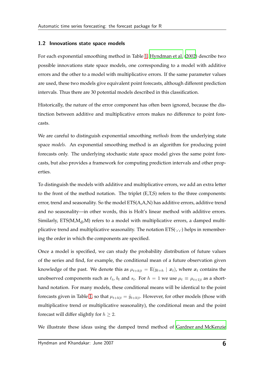#### 1.2 Innovations state space models

For each exponential smoothing method in Table [1,](#page-6-0) [Hyndman et](#page-29-1) al. [\(2002](#page-29-1)) describe two possible innovations state space models, one corresponding to a model with additive errors and the other to a model with multiplicative errors. If the same parameter values are used, these two models give equivalent point forecasts, although different prediction intervals. Thus there are 30 potential models described in this classification.

Historically, the nature of the error component has often been ignored, because the distinction between additive and multiplicative errors makes no difference to point forecasts.

We are careful to distinguish exponential smoothing *methods* from the underlying state space *models*. An exponential smoothing method is an algorithm for producing point forecasts only. The underlying stochastic state space model gives the same point forecasts, but also provides a framework for computing prediction intervals and other properties.

To distinguish the models with additive and multiplicative errors, we add an extra letter to the front of the method notation. The triplet (E,T,S) refers to the three components: error, trend and seasonality. So the model ETS(A,A,N) has additive errors, additive trend and no seasonality—in other words, this is Holt's linear method with additive errors. Similarly,  $\text{ETS}(\text{M}\text{,}\text{M}_\text{d}\text{,}\text{M})$  refers to a model with multiplicative errors, a damped multiplicative trend and multiplicative seasonality. The notation  $ETS(\cdot,\cdot,\cdot)$  helps in remembering the order in which the components are specified.

Once a model is specified, we can study the probability distribution of future values of the series and find, for example, the conditional mean of a future observation given knowledge of the past. We denote this as  $\mu_{t+h|t} = E(y_{t+h} | x_t)$ , where  $x_t$  contains the unobserved components such as  $\ell_t$ ,  $b_t$  and  $s_t$ . For  $h = 1$  we use  $\mu_t \equiv \mu_{t+1|t}$  as a shorthand notation. For many models, these conditional means will be identical to the point forecasts given in Table [1,](#page-6-0) so that  $\mu_{t+h|t} = \hat{y}_{t+h|t}.$  However, for other models (those with multiplicative trend or multiplicative seasonality), the conditional mean and the point forecast will differ slightly for  $h \geq 2$ .

We illustrate these ideas using the damped trend method of [Gardner and McKenzie](#page-28-3)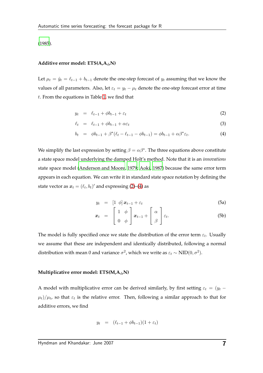[\(1985](#page-28-3)).

#### Additive error model: ETS(A,A<sub>d</sub>,N)

Let  $\mu_t = \hat{y}_t = \ell_{t-1} + b_{t-1}$  denote the one-step forecast of  $y_t$  assuming that we know the values of all parameters. Also, let  $\varepsilon_t = y_t - \mu_t$  denote the one-step forecast error at time t. From the equations in Table [1,](#page-6-0) we find that

<span id="page-8-0"></span>
$$
y_t = \ell_{t-1} + \phi b_{t-1} + \varepsilon_t \tag{2}
$$

$$
\ell_t = \ell_{t-1} + \phi b_{t-1} + \alpha \varepsilon_t \tag{3}
$$

$$
b_t = \phi b_{t-1} + \beta^* (\ell_t - \ell_{t-1} - \phi b_{t-1}) = \phi b_{t-1} + \alpha \beta^* \varepsilon_t.
$$
 (4)

We simplify the last expression by setting  $\beta = \alpha \beta^*$ . The three equations above constitute a state space model underlying the damped Holt's method. Note that it is an *innovations* state space model [\(Anderson and Moore, 1979](#page-28-4); [Aoki, 1987](#page-28-5)) because the same error term appears in each equation. We can write it in standard state space notation by defining the state vector as  $x_t = (\ell_t, b_t)'$  and expressing [\(2\)](#page-8-0)–[\(4\)](#page-8-0) as

$$
y_t = [1 \phi] \mathbf{x}_{t-1} + \varepsilon_t \tag{5a}
$$

$$
\boldsymbol{x}_t = \begin{bmatrix} 1 & \phi \\ 0 & \phi \end{bmatrix} \boldsymbol{x}_{t-1} + \begin{bmatrix} \alpha \\ \beta \end{bmatrix} \varepsilon_t. \tag{5b}
$$

The model is fully specified once we state the distribution of the error term  $\varepsilon_t$ . Usually we assume that these are independent and identically distributed, following a normal distribution with mean 0 and variance  $\sigma^2$ , which we write as  $\varepsilon_t \sim \text{NID}(0, \sigma^2)$ .

#### **Multiplicative error model: ETS(M,A<sub>d</sub>,N)**

A model with multiplicative error can be derived similarly, by first setting  $\varepsilon_t = (y_t (\mu_t)/\mu_t$ , so that  $\varepsilon_t$  is the relative error. Then, following a similar approach to that for additive errors, we find

$$
y_t = (\ell_{t-1} + \phi b_{t-1})(1 + \varepsilon_t)
$$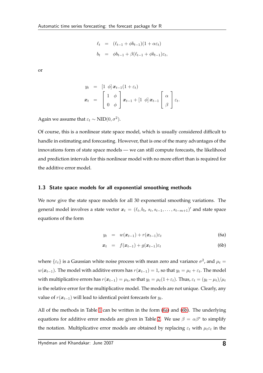$$
\ell_t = (\ell_{t-1} + \phi b_{t-1})(1 + \alpha \varepsilon_t)
$$
  

$$
b_t = \phi b_{t-1} + \beta(\ell_{t-1} + \phi b_{t-1})\varepsilon_t,
$$

or

$$
y_t = [1 \phi] \mathbf{x}_{t-1} (1 + \varepsilon_t)
$$
  

$$
\mathbf{x}_t = \begin{bmatrix} 1 & \phi \\ 0 & \phi \end{bmatrix} \mathbf{x}_{t-1} + [1 \phi] \mathbf{x}_{t-1} \begin{bmatrix} \alpha \\ \beta \end{bmatrix} \varepsilon_t.
$$

Again we assume that  $\varepsilon_t \sim \text{NID}(0, \sigma^2)$ .

Of course, this is a nonlinear state space model, which is usually considered difficult to handle in estimating and forecasting. However, that is one of the many advantages of the innovations form of state space models — we can still compute forecasts, the likelihood and prediction intervals for this nonlinear model with no more effort than is required for the additive error model.

#### 1.3 State space models for all exponential smoothing methods

We now give the state space models for all 30 exponential smoothing variations. The general model involves a state vector  $x_t = (\ell_t, b_t, s_t, s_{t-1}, \ldots, s_{t-m+1})'$  and state space equations of the form

<span id="page-9-1"></span><span id="page-9-0"></span>
$$
y_t = w(\boldsymbol{x}_{t-1}) + r(\boldsymbol{x}_{t-1})\varepsilon_t \tag{6a}
$$

$$
x_t = f(x_{t-1}) + g(x_{t-1})\varepsilon_t \tag{6b}
$$

where  $\{\varepsilon_t\}$  is a Gaussian white noise process with mean zero and variance  $\sigma^2$ , and  $\mu_t =$  $w(\boldsymbol{x}_{t-1})$ . The model with additive errors has  $r(\boldsymbol{x}_{t-1}) = 1$ , so that  $y_t = \mu_t + \varepsilon_t$ . The model with multiplicative errors has  $r(x_{t-1}) = \mu_t$ , so that  $y_t = \mu_t(1 + \varepsilon_t)$ . Thus,  $\varepsilon_t = (y_t - \mu_t)/\mu_t$ is the relative error for the multiplicative model. The models are not unique. Clearly, any value of  $r(\boldsymbol{x}_{t-1})$  will lead to identical point forecasts for  $y_t$ .

All of the methods in Table [1](#page-6-0) can be written in the form [\(6a\)](#page-9-0) and [\(6b\)](#page-9-0). The underlying equations for additive error models are given in Table [2.](#page-10-0) We use  $\beta = \alpha \beta^*$  to simplify the notation. Multiplicative error models are obtained by replacing  $\varepsilon_t$  with  $\mu_t \varepsilon_t$  in the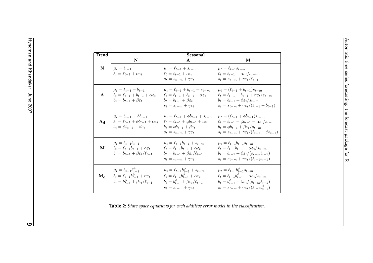| <b>Trend</b> |                                                             | Seasonal                                                    |                                                                         |
|--------------|-------------------------------------------------------------|-------------------------------------------------------------|-------------------------------------------------------------------------|
|              | N                                                           | $\mathbf{A}$                                                | M                                                                       |
| N            | $\mu_t = \ell_{t-1}$                                        | $\mu_t = \ell_{t-1} + s_{t-m}$                              | $\mu_t = \ell_{t-1} s_{t-m}$                                            |
|              | $\ell_t = \ell_{t-1} + \alpha \varepsilon_t$                | $\ell_t = \ell_{t-1} + \alpha \varepsilon_t$                | $\ell_t = \ell_{t-1} + \alpha \varepsilon_t / s_{t-m}$                  |
|              |                                                             | $s_t = s_{t-m} + \gamma \varepsilon_t$                      | $s_t = s_{t-m} + \gamma \varepsilon_t / \ell_{t-1}$                     |
|              | $\mu_t = \ell_{t-1} + b_{t-1}$                              | $\mu_t = \ell_{t-1} + b_{t-1} + s_{t-m}$                    | $\mu_t = (\ell_{t-1} + b_{t-1})s_{t-m}$                                 |
| $\mathbf{A}$ | $\ell_t = \ell_{t-1} + b_{t-1} + \alpha \varepsilon_t$      | $\ell_t = \ell_{t-1} + b_{t-1} + \alpha \varepsilon_t$      | $\ell_t = \ell_{t-1} + b_{t-1} + \alpha \varepsilon_t / s_{t-m}$        |
|              | $b_t = b_{t-1} + \beta \varepsilon_t$                       | $b_t = b_{t-1} + \beta \varepsilon_t$                       | $b_t = b_{t-1} + \beta \varepsilon_t / s_{t-m}$                         |
|              |                                                             | $s_t = s_{t-m} + \gamma \varepsilon_t$                      | $s_t = s_{t-m} + \gamma \varepsilon_t / (\ell_{t-1} + b_{t-1})$         |
|              | $\mu_t = \ell_{t-1} + \phi b_{t-1}$                         | $\mu_t = \ell_{t-1} + \phi b_{t-1} + s_{t-m}$               | $\mu_t = (\ell_{t-1} + \phi b_{t-1}) s_{t-m}$                           |
| $A_d$        | $\ell_t = \ell_{t-1} + \phi b_{t-1} + \alpha \varepsilon_t$ | $\ell_t = \ell_{t-1} + \phi b_{t-1} + \alpha \varepsilon_t$ | $\ell_t = \ell_{t-1} + \phi b_{t-1} + \alpha \varepsilon_t / s_{t-m}$   |
|              | $b_t = \phi b_{t-1} + \beta \varepsilon_t$                  | $b_t = \phi b_{t-1} + \beta \varepsilon_t$                  | $b_t = \phi b_{t-1} + \beta \varepsilon_t / s_{t-m}$                    |
|              |                                                             | $s_t = s_{t-m} + \gamma \varepsilon_t$                      | $s_t = s_{t-m} + \gamma \varepsilon_t / (\ell_{t-1} + \phi b_{t-1})$    |
|              | $\mu_t = \ell_{t-1} b_{t-1}$                                | $\mu_t = \ell_{t-1} b_{t-1} + s_{t-m}$                      | $\mu_t = \ell_{t-1} b_{t-1} s_{t-m}$                                    |
| M            | $\ell_t = \ell_{t-1} b_{t-1} + \alpha \varepsilon_t$        | $\ell_t = \ell_{t-1} b_{t-1} + \alpha \varepsilon_t$        | $\ell_t = \ell_{t-1} b_{t-1} + \alpha \varepsilon_t / s_{t-m}$          |
|              | $b_t = b_{t-1} + \beta \varepsilon_t / \ell_{t-1}$          | $b_t = b_{t-1} + \beta \varepsilon_t / \ell_{t-1}$          | $b_t = b_{t-1} + \beta \varepsilon_t / (s_{t-m} \ell_{t-1})$            |
|              |                                                             | $s_t = s_{t-m} + \gamma \varepsilon_t$                      | $s_t = s_{t-m} + \gamma \varepsilon_t / (\ell_{t-1} b_{t-1})$           |
|              | $\mu_t = \ell_{t-1} b_{t-1}^{\phi}$                         | $\mu_t = \ell_{t-1} b_{t-1}^{\phi} + s_{t-m}$               | $\mu_t = \ell_{t-1} b_{t-1}^{\phi} s_{t-m}$                             |
| $M_d$        | $\ell_t = \ell_{t-1} b_{t-1}^{\phi} + \alpha \varepsilon_t$ | $\ell_t = \ell_{t-1} b_{t-1}^{\phi} + \alpha \varepsilon_t$ | $\ell_t = \ell_{t-1} b_{t-1}^{\phi} + \alpha \varepsilon_t / s_{t-m}$   |
|              | $b_t = b_{t-1}^{\phi} + \beta \varepsilon_t / \ell_{t-1}$   | $b_t = b_{t-1}^{\phi} + \beta \varepsilon_t / \ell_{t-1}$   | $b_t = b_{t-1}^{\phi} + \beta \varepsilon_t / (s_{t-m} \ell_{t-1})$     |
|              |                                                             | $s_t = s_{t-m} + \gamma \varepsilon_t$                      | $s_t = s_{t-m} + \gamma \varepsilon_t / (\ell_{t-1} b_{t-1}^{\varphi})$ |
|              |                                                             |                                                             |                                                                         |

<span id="page-10-0"></span>Table 2: State space equations for each additive error model in the classification.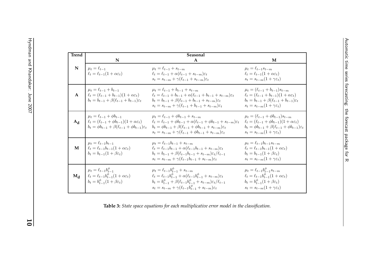| Trend        | N                                                                                                                                                                               | Seasonal<br>$\mathbf{A}$                                                                                                                                                                                                                                                                                                      | M                                                                                                                                                                                                                                    |
|--------------|---------------------------------------------------------------------------------------------------------------------------------------------------------------------------------|-------------------------------------------------------------------------------------------------------------------------------------------------------------------------------------------------------------------------------------------------------------------------------------------------------------------------------|--------------------------------------------------------------------------------------------------------------------------------------------------------------------------------------------------------------------------------------|
| N            | $\mu_t = \ell_{t-1}$<br>$\ell_t = \ell_{t-1}(1 + \alpha \varepsilon_t)$                                                                                                         | $\mu_t = \ell_{t-1} + s_{t-m}$<br>$\ell_t = \ell_{t-1} + \alpha(\ell_{t-1} + s_{t-m})\varepsilon_t$<br>$s_t = s_{t-m} + \gamma(\ell_{t-1} + s_{t-m})\varepsilon_t$                                                                                                                                                            | $\mu_t = \ell_{t-1} s_{t-m}$<br>$\ell_t = \ell_{t-1}(1 + \alpha \varepsilon_t)$<br>$s_t = s_{t-m}(1 + \gamma \varepsilon_t)$                                                                                                         |
| $\mathbf{A}$ | $\mu_t = \ell_{t-1} + b_{t-1}$<br>$\ell_t = (\ell_{t-1} + b_{t-1})(1 + \alpha \varepsilon_t)$<br>$b_t = b_{t-1} + \beta(\ell_{t-1} + b_{t-1})\varepsilon_t$                     | $\mu_t = \ell_{t-1} + b_{t-1} + s_{t-m}$<br>$\ell_t = \ell_{t-1} + b_{t-1} + \alpha(\ell_{t-1} + b_{t-1} + s_{t-m})\varepsilon_t$<br>$b_t = b_{t-1} + \beta(\ell_{t-1} + b_{t-1} + s_{t-m})\varepsilon_t$<br>$s_t = s_{t-m} + \gamma(\ell_{t-1} + b_{t-1} + s_{t-m})\varepsilon_t$                                            | $\mu_t = (\ell_{t-1} + b_{t-1})s_{t-m}$<br>$\ell_t = (\ell_{t-1} + b_{t-1})(1 + \alpha \varepsilon_t)$<br>$b_t = b_{t-1} + \beta(\ell_{t-1} + b_{t-1})\varepsilon_t$<br>$s_t = s_{t-m}(1+\gamma \varepsilon_t)$                      |
| $A_d$        | $\mu_t = \ell_{t-1} + \phi b_{t-1}$<br>$\ell_t = (\ell_{t-1} + \phi b_{t-1})(1 + \alpha \varepsilon_t)$<br>$b_t = \phi b_{t-1} + \beta(\ell_{t-1} + \phi b_{t-1})\varepsilon_t$ | $\mu_t = \ell_{t-1} + \phi b_{t-1} + s_{t-m}$<br>$\ell_t = \ell_{t-1} + \phi b_{t-1} + \alpha(\ell_{t-1} + \phi b_{t-1} + s_{t-m})\varepsilon_t$<br>$b_t = \phi b_{t-1} + \beta(\ell_{t-1} + \phi b_{t-1} + s_{t-m})\varepsilon_t$<br>$s_t = s_{t-m} + \gamma(\ell_{t-1} + \phi b_{t-1} + s_{t-m})\varepsilon_t$              | $\mu_t = (\ell_{t-1} + \phi b_{t-1}) s_{t-m}$<br>$\ell_t = (\ell_{t-1} + \phi b_{t-1})(1 + \alpha \varepsilon_t)$<br>$b_t = \phi b_{t-1} + \beta(\ell_{t-1} + \phi b_{t-1})\varepsilon_t$<br>$s_t = s_{t-m}(1+\gamma \varepsilon_t)$ |
| M            | $\mu_t = \ell_{t-1} b_{t-1}$<br>$\ell_t = \ell_{t-1} b_{t-1} (1 + \alpha \varepsilon_t)$<br>$b_t = b_{t-1}(1+\beta \varepsilon_t)$                                              | $\mu_t = \ell_{t-1} b_{t-1} + s_{t-m}$<br>$\ell_t = \ell_{t-1} b_{t-1} + \alpha (\ell_{t-1} b_{t-1} + s_{t-m}) \varepsilon_t$<br>$b_t = b_{t-1} + \beta(\ell_{t-1}b_{t-1} + s_{t-m})\varepsilon_t/\ell_{t-1}$<br>$s_t = s_{t-m} + \gamma(\ell_{t-1}b_{t-1} + s_{t-m})\varepsilon_t$                                           | $\mu_t = \ell_{t-1} b_{t-1} s_{t-m}$<br>$\ell_t = \ell_{t-1} b_{t-1} (1 + \alpha \varepsilon_t)$<br>$b_t = b_{t-1}(1+\beta \varepsilon_t)$<br>$s_t = s_{t-m}(1+\gamma \varepsilon_t)$                                                |
| $M_d$        | $\mu_t = \ell_{t-1} b_{t-1}^{\phi}$<br>$\ell_t = \ell_{t-1} b_{t-1}^{\phi} (1 + \alpha \varepsilon_t)$<br>$b_t = b_{t-1}^{\phi}(1 + \beta \varepsilon_t)$                       | $\mu_t = \ell_{t-1} b_{t-1}^{\phi} + s_{t-m}$<br>$\ell_t = \ell_{t-1} b_{t-1}^{\phi} + \alpha (\ell_{t-1} b_{t-1}^{\phi} + s_{t-m}) \varepsilon_t$<br>$b_t = b_{t-1}^{\phi} + \beta(\ell_{t-1}b_{t-1}^{\phi} + s_{t-m})\varepsilon_t/\ell_{t-1}$<br>$s_t = s_{t-m} + \gamma(\ell_{t-1}b_{t-1}^{\phi} + s_{t-m})\varepsilon_t$ | $\mu_t = \ell_{t-1} b_{t-1}^{\phi} s_{t-m}$<br>$\ell_t = \ell_{t-1} b_{t-1}^{\phi} (1 + \alpha \varepsilon_t)$<br>$b_t = b_{t-1}^{\phi}(1 + \beta \varepsilon_t)$<br>$s_t = s_{t-m}(1+\gamma \varepsilon_t)$                         |

<span id="page-11-0"></span>Table 3: State space equations for each multiplicative error model in the classification.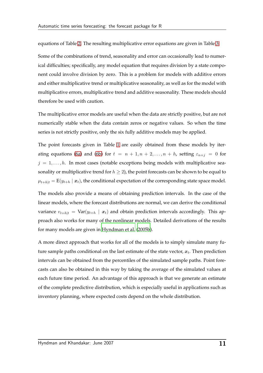equations of Table [2.](#page-10-0) The resulting multiplicative error equations are given in Table [3.](#page-11-0)

Some of the combinations of trend, seasonality and error can occasionally lead to numerical difficulties; specifically, any model equation that requires division by a state component could involve division by zero. This is a problem for models with additive errors and either multiplicative trend or multiplicative seasonality, as well as for the model with multiplicative errors, multiplicative trend and additive seasonality. These models should therefore be used with caution.

The multiplicative error models are useful when the data are strictly positive, but are not numerically stable when the data contain zeros or negative values. So when the time series is not strictly positive, only the six fully additive models may be applied.

The point forecasts given in Table [1](#page-6-0) are easily obtained from these models by iter-ating equations [\(6a\)](#page-9-0) and [\(6b\)](#page-9-0) for  $t = n + 1, n + 2, ..., n + h$ , setting  $\varepsilon_{n+i} = 0$  for  $j = 1, \ldots, h$ . In most cases (notable exceptions being models with multiplicative seasonality or multiplicative trend for  $h \geq 2$ ), the point forecasts can be shown to be equal to  $\mu_{t+h|t} = E(y_{t+h} | x_t)$ , the conditional expectation of the corresponding state space model.

The models also provide a means of obtaining prediction intervals. In the case of the linear models, where the forecast distributions are normal, we can derive the conditional variance  $v_{t+h|t} = \text{Var}(y_{t+h} | x_t)$  and obtain prediction intervals accordingly. This approach also works for many of the nonlinear models. Detailed derivations of the results for many models are given in [Hyndman et al. \(2005b\)](#page-29-2).

A more direct approach that works for all of the models is to simply simulate many future sample paths conditional on the last estimate of the state vector,  $x_t$ . Then prediction intervals can be obtained from the percentiles of the simulated sample paths. Point forecasts can also be obtained in this way by taking the average of the simulated values at each future time period. An advantage of this approach is that we generate an estimate of the complete predictive distribution, which is especially useful in applications such as inventory planning, where expected costs depend on the whole distribution.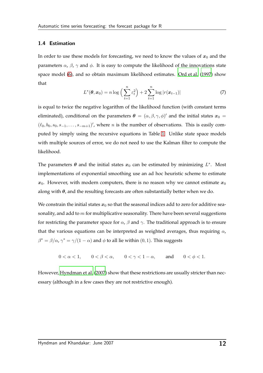#### 1.4 Estimation

<span id="page-13-0"></span>In order to use these models for forecasting, we need to know the values of  $x_0$  and the parameters  $\alpha$ ,  $\beta$ ,  $\gamma$  and  $\phi$ . It is easy to compute the likelihood of the innovations state space model [\(6\)](#page-9-1), and so obtain maximum likelihood estimates. [Ord et al. \(1997\)](#page-30-3) show that

$$
L^*(\boldsymbol{\theta}, \boldsymbol{x}_0) = n \log \left( \sum_{t=1}^n \varepsilon_t^2 \right) + 2 \sum_{t=1}^n \log |r(\boldsymbol{x}_{t-1})| \tag{7}
$$

is equal to twice the negative logarithm of the likelihood function (with constant terms eliminated), conditional on the parameters  $\boldsymbol{\theta} = (\alpha, \beta, \gamma, \phi)'$  and the initial states  $\boldsymbol{x}_0 =$  $(\ell_0, b_0, s_0, s_{-1}, \ldots, s_{-m+1})'$ , where *n* is the number of observations. This is easily computed by simply using the recursive equations in Table [1.](#page-6-0) Unlike state space models with multiple sources of error, we do not need to use the Kalman filter to compute the likelihood.

The parameters  $\theta$  and the initial states  $x_0$  can be estimated by minimizing  $L^*$ . Most implementations of exponential smoothing use an ad hoc heuristic scheme to estimate  $x_0$ . However, with modern computers, there is no reason why we cannot estimate  $x_0$ along with  $\theta$ , and the resulting forecasts are often substantially better when we do.

We constrain the initial states  $x_0$  so that the seasonal indices add to zero for additive seasonality, and add to  $m$  for multiplicative seasonality. There have been several suggestions for restricting the parameter space for  $\alpha$ ,  $\beta$  and  $\gamma$ . The traditional approach is to ensure that the various equations can be interpreted as weighted averages, thus requiring  $\alpha$ ,  $\beta^* = \beta/\alpha$ ,  $\gamma^* = \gamma/(1-\alpha)$  and  $\phi$  to all lie within  $(0, 1)$ . This suggests

$$
0<\alpha<1, \qquad 0<\beta<\alpha, \qquad 0<\gamma<1-\alpha, \qquad \text{and} \qquad 0<\phi<1.
$$

However, [Hyndman et al. \(2007](#page-29-3)) show that these restrictions are usually stricter than necessary (although in a few cases they are not restrictive enough).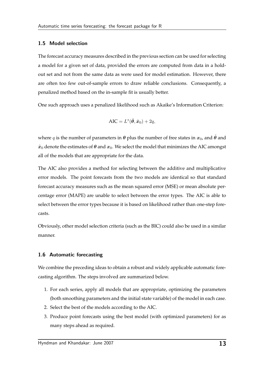#### 1.5 Model selection

The forecast accuracy measures described in the previous section can be used for selecting a model for a given set of data, provided the errors are computed from data in a holdout set and not from the same data as were used for model estimation. However, there are often too few out-of-sample errors to draw reliable conclusions. Consequently, a penalized method based on the in-sample fit is usually better.

One such approach uses a penalized likelihood such as Akaike's Information Criterion:

$$
AIC = L^*(\hat{\theta}, \hat{x}_0) + 2q,
$$

where q is the number of parameters in  $\theta$  plus the number of free states in  $x_0$ , and  $\hat{\theta}$  and  $\hat{x}_0$  denote the estimates of  $\theta$  and  $x_0$ . We select the model that minimizes the AIC amongst all of the models that are appropriate for the data.

The AIC also provides a method for selecting between the additive and multiplicative error models. The point forecasts from the two models are identical so that standard forecast accuracy measures such as the mean squared error (MSE) or mean absolute percentage error (MAPE) are unable to select between the error types. The AIC is able to select between the error types because it is based on likelihood rather than one-step forecasts.

Obviously, other model selection criteria (such as the BIC) could also be used in a similar manner.

#### 1.6 Automatic forecasting

We combine the preceding ideas to obtain a robust and widely applicable automatic forecasting algorithm. The steps involved are summarized below.

- 1. For each series, apply all models that are appropriate, optimizing the parameters (both smoothing parameters and the initial state variable) of the model in each case.
- 2. Select the best of the models according to the AIC.
- 3. Produce point forecasts using the best model (with optimized parameters) for as many steps ahead as required.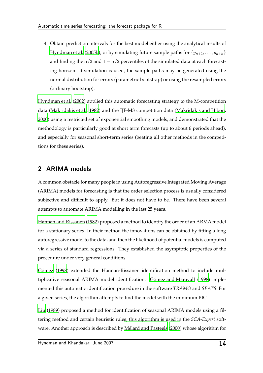4. Obtain prediction intervals for the best model either using the analytical results of [Hyndman et al. \(2005b](#page-29-2)), or by simulating future sample paths for  $\{y_{n+1}, \ldots, y_{n+h}\}$ and finding the  $\alpha/2$  and  $1 - \alpha/2$  percentiles of the simulated data at each forecasting horizon. If simulation is used, the sample paths may be generated using the normal distribution for errors (parametric bootstrap) or using the resampled errors (ordinary bootstrap).

[Hyndman et al. \(2002](#page-29-1)) applied this automatic forecasting strategy to the M-competition data [\(Makridakis et al.](#page-30-1), [1982\)](#page-30-1) and the IJF-M3 competition data [\(Makridakis and Hibon,](#page-30-2) [2000\)](#page-30-2) using a restricted set of exponential smoothing models, and demonstrated that the methodology is particularly good at short term forecasts (up to about 6 periods ahead), and especially for seasonal short-term series (beating all other methods in the competitions for these series).

## <span id="page-15-0"></span>2 ARIMA models

A common obstacle for many people in using Autoregressive Integrated Moving Average (ARIMA) models for forecasting is that the order selection process is usually considered subjective and difficult to apply. But it does not have to be. There have been several attempts to automate ARIMA modelling in the last 25 years.

[Hannan and Rissanen \(1982\)](#page-29-4) proposed a method to identify the order of an ARMA model for a stationary series. In their method the innovations can be obtained by fitting a long autoregressive model to the data, and then the likelihood of potential models is computed via a series of standard regressions. They established the asymptotic properties of the procedure under very general conditions.

Gómez (1998) extended the Hannan-Rissanen identification method to include mul-tiplicative seasonal ARIMA model identification. Gómez and Maravall [\(1998](#page-29-5)) implemented this automatic identification procedure in the software *TRAMO* and *SEATS*. For a given series, the algorithm attempts to find the model with the minimum BIC.

[Liu](#page-30-5) [\(1989](#page-30-5)) proposed a method for identification of seasonal ARIMA models using a filtering method and certain heuristic rules; this algorithm is used in the *SCA-Expert* soft-ware. Another approach is described by Mélard and Pasteels [\(2000](#page-30-6)) whose algorithm for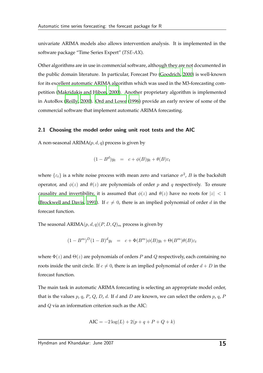univariate ARIMA models also allows intervention analysis. It is implemented in the software package "Time Series Expert" (*TSE-AX*).

Other algorithms are in use in commercial software, although they are not documented in the public domain literature. In particular, Forecast Pro [\(Goodrich, 2000](#page-29-6)) is well-known for its excellent automatic ARIMA algorithm which was used in the M3-forecasting competition [\(Makridakis and Hibon, 2000](#page-30-2)). Another proprietary algorithm is implemented in AutoBox [\(Reilly, 2000](#page-30-7)). [Ord and Lowe \(1996\)](#page-30-8) provide an early review of some of the commercial software that implement automatic ARIMA forecasting.

#### 2.1 Choosing the model order using unit root tests and the AIC

A non-seasonal  $ARIMA(p, d, q)$  process is given by

$$
(1 - B^d)y_t = c + \phi(B)y_t + \theta(B)\varepsilon_t
$$

where  $\{\varepsilon_t\}$  is a white noise process with mean zero and variance  $\sigma^2$ , B is the backshift operator, and  $\phi(z)$  and  $\theta(z)$  are polynomials of order p and q respectively. To ensure causality and invertibility, it is assumed that  $\phi(z)$  and  $\theta(z)$  have no roots for  $|z| < 1$ [\(Brockwell and Davis, 1991](#page-28-7)). If  $c \neq 0$ , there is an implied polynomial of order d in the forecast function.

The seasonal ARIMA $(p, d, q)(P, D, Q)<sub>m</sub>$  process is given by

$$
(1 - Bm)D (1 - B)d yt = c + \Phi(Bm)\phi(B)yt + \Theta(Bm)\theta(B)\varepsilon_t
$$

where  $\Phi(z)$  and  $\Theta(z)$  are polynomials of orders P and Q respectively, each containing no roots inside the unit circle. If  $c \neq 0$ , there is an implied polynomial of order  $d + D$  in the forecast function.

The main task in automatic ARIMA forecasting is selecting an appropriate model order, that is the values  $p$ ,  $q$ ,  $P$ ,  $Q$ ,  $D$ ,  $d$ . If  $d$  and  $D$  are known, we can select the orders  $p$ ,  $q$ ,  $P$ and Q via an information criterion such as the AIC:

$$
AIC = -2\log(L) + 2(p+q+P+Q+k)
$$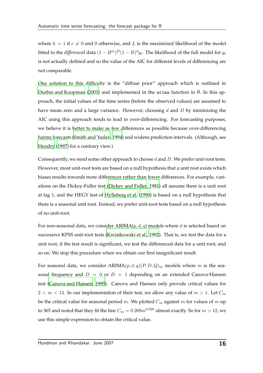where  $k = 1$  if  $c \neq 0$  and 0 otherwise, and L is the maximized likelihood of the model fitted to the *differenced* data  $(1 - B^m)^D (1 - B)^d y_t$ . The likelihood of the full model for  $y_t$ is not actually defined and so the value of the AIC for different levels of differencing are not comparable.

One solution to this difficulty is the "diffuse prior" approach which is outlined in [Durbin and Koopman](#page-28-8) [\(2001](#page-28-8)) and implemented in the arima function in R. In this approach, the initial values of the time series (before the observed values) are assumed to have mean zero and a large variance. However, choosing  $d$  and  $D$  by minimizing the AIC using this approach tends to lead to over-differencing. For forecasting purposes, we believe it is better to make as few differences as possible because over-differencing harms forecasts [\(Smith and Yadav](#page-30-9), [1994](#page-30-9)) and widens prediction intervals. (Although, see [Hendry \(1997](#page-29-7)) for a contrary view.)

Consequently, we need some other approach to choose d and D. We prefer unit-root tests. However, most unit-root tests are based on a null hypothesis that a unit root exists which biases results towards more differences rather than fewer differences. For example, variations on the Dickey-Fuller test [\(Dickey and Fuller](#page-28-9), [1981\)](#page-28-9) all assume there is a unit root at lag 1, and the HEGY test of [Hylleberg et al.](#page-29-8) [\(1990](#page-29-8)) is based on a null hypothesis that there is a seasonal unit root. Instead, we prefer unit-root tests based on a null hypothesis of no unit-root.

For non-seasonal data, we consider  $ARIMA(p, d, q)$  models where d is selected based on successive KPSS unit-root tests [\(Kwiatkowski et al.](#page-30-10), [1992\)](#page-30-10). That is, we test the data for a unit root; if the test result is significant, we test the differenced data for a unit root; and so on. We stop this procedure when we obtain our first insignificant result.

For seasonal data, we consider  $ARIMA(p, d, q)(P, D, Q)<sub>m</sub>$  models where m is the seasonal frequency and  $D = 0$  or  $D = 1$  depending on an extended Canova-Hansen test [\(Canova and Hansen](#page-28-10), [1995\)](#page-28-10). Canova and Hansen only provide critical values for  $2 < m < 13$ . In our implementation of their test, we allow any value of  $m > 1$ . Let  $C_m$ be the critical value for seasonal period m. We plotted  $C_m$  against m for values of m up to 365 and noted that they fit the line  $C_m = 0.269m^{0.928}$  almost exactly. So for  $m > 12$ , we use this simple expression to obtain the critical value.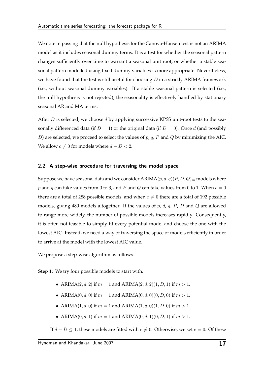We note in passing that the null hypothesis for the Canova-Hansen test is not an ARIMA model as it includes seasonal dummy terms. It is a test for whether the seasonal pattern changes sufficiently over time to warrant a seasonal unit root, or whether a stable seasonal pattern modelled using fixed dummy variables is more appropriate. Nevertheless, we have found that the test is still useful for choosing  $D$  in a strictly ARIMA framework (i.e., without seasonal dummy variables). If a stable seasonal pattern is selected (i.e., the null hypothesis is not rejected), the seasonality is effectively handled by stationary seasonal AR and MA terms.

After  $D$  is selected, we choose  $d$  by applying successive KPSS unit-root tests to the seasonally differenced data (if  $D = 1$ ) or the original data (if  $D = 0$ ). Once d (and possibly D) are selected, we proceed to select the values of  $p$ ,  $q$ ,  $P$  and  $Q$  by minimizing the AIC. We allow  $c \neq 0$  for models where  $d + D < 2$ .

#### 2.2 A step-wise procedure for traversing the model space

Suppose we have seasonal data and we consider  $ARIMA(p, d, q)(P, D, Q)<sub>m</sub>$  models where p and q can take values from 0 to 3, and P and Q can take values from 0 to 1. When  $c = 0$ there are a total of 288 possible models, and when  $c \neq 0$  there are a total of 192 possible models, giving 480 models altogether. If the values of  $p$ ,  $d$ ,  $q$ ,  $P$ ,  $D$  and  $Q$  are allowed to range more widely, the number of possible models increases rapidly. Consequently, it is often not feasible to simply fit every potential model and choose the one with the lowest AIC. Instead, we need a way of traversing the space of models efficiently in order to arrive at the model with the lowest AIC value.

We propose a step-wise algorithm as follows.

**Step 1:** We try four possible models to start with.

- ARIMA(2, d, 2) if  $m = 1$  and ARIMA(2, d, 2)(1, D, 1) if  $m > 1$ .
- ARIMA(0, d, 0) if  $m = 1$  and ARIMA(0, d, 0)(0, D, 0) if  $m > 1$ .
- ARIMA(1, *d*, 0) if  $m = 1$  and ARIMA(1, *d*, 0)(1, *D*, 0) if  $m > 1$ .
- ARIMA(0, d, 1) if  $m = 1$  and ARIMA(0, d, 1)(0, D, 1) if  $m > 1$ .

If  $d + D \le 1$ , these models are fitted with  $c \ne 0$ . Otherwise, we set  $c = 0$ . Of these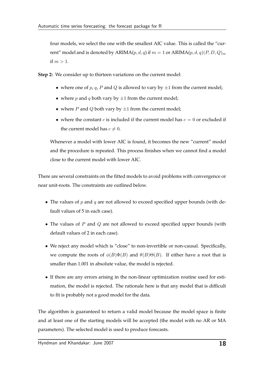four models, we select the one with the smallest AIC value. This is called the "current" model and is denoted by ARIMA(p, d, q) if  $m = 1$  or ARIMA(p, d, q)(P, D, Q)<sub>m</sub> if  $m > 1$ .

**Step 2:** We consider up to thirteen variations on the current model:

- where one of  $p$ ,  $q$ ,  $P$  and  $Q$  is allowed to vary by  $\pm 1$  from the current model;
- where *p* and *q* both vary by  $\pm 1$  from the current model;
- where  $P$  and  $Q$  both vary by  $\pm 1$  from the current model;
- where the constant c is included if the current model has  $c = 0$  or excluded if the current model has  $c \neq 0$ .

Whenever a model with lower AIC is found, it becomes the new "current" model and the procedure is repeated. This process finishes when we cannot find a model close to the current model with lower AIC.

There are several constraints on the fitted models to avoid problems with convergence or near unit-roots. The constraints are outlined below.

- The values of p and q are not allowed to exceed specified upper bounds (with default values of 5 in each case).
- The values of  $P$  and  $Q$  are not allowed to exceed specified upper bounds (with default values of 2 in each case).
- We reject any model which is "close" to non-invertible or non-causal. Specifically, we compute the roots of  $\phi(B)\Phi(B)$  and  $\theta(B)\Theta(B)$ . If either have a root that is smaller than 1.001 in absolute value, the model is rejected.
- If there are any errors arising in the non-linear optimization routine used for estimation, the model is rejected. The rationale here is that any model that is difficult to fit is probably not a good model for the data.

The algorithm is guaranteed to return a valid model because the model space is finite and at least one of the starting models will be accepted (the model with no AR or MA parameters). The selected model is used to produce forecasts.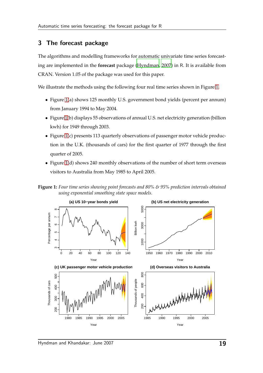### 3 The forecast package

The algorithms and modelling frameworks for automatic univariate time series forecasting are implemented in the **forecast** package [\(Hyndman, 2007](#page-29-9)) in R. It is available from CRAN. Version 1.05 of the package was used for this paper.

We illustrate the methods using the following four real time series shown in Figure [1.](#page-20-0)

- Figure [1\(](#page-20-0)a) shows 125 monthly U.S. government bond yields (percent per annum) from January 1994 to May 2004.
- Figure [1\(](#page-20-0)b) displays 55 observations of annual U.S. net electricity generation (billion kwh) for 1949 through 2003.
- Figure [1\(](#page-20-0)c) presents 113 quarterly observations of passenger motor vehicle production in the U.K. (thousands of cars) for the first quarter of 1977 through the first quarter of 2005.
- Figure [1\(](#page-20-0)d) shows 240 monthly observations of the number of short term overseas visitors to Australia from May 1985 to April 2005.

**Figure 1:** *Four time series showing point forecasts and 80% & 95% prediction intervals obtained using exponential smoothing state space models.*

<span id="page-20-0"></span>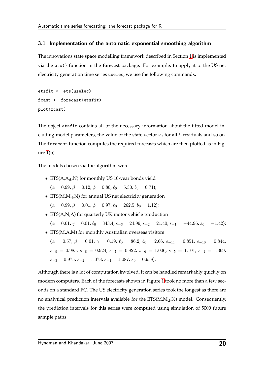#### 3.1 Implementation of the automatic exponential smoothing algorithm

The innovations state space modelling framework described in Section [1](#page-3-0) is implemented via the ets() function in the **forecast** package. For example, to apply it to the US net electricity generation time series uselec, we use the following commands.

```
etsfit <- ets(uselec)
fcast <- forecast(etsfit)
plot(fcast)
```
The object etsfit contains all of the necessary information about the fitted model including model parameters, the value of the state vector  $x_t$  for all t, residuals and so on. The forecast function computes the required forecasts which are then plotted as in Figure [1\(](#page-20-0)b).

The models chosen via the algorithm were:

- ETS( $A, A_d, N$ ) for monthly US 10-year bonds yield  $(\alpha = 0.99, \beta = 0.12, \phi = 0.80, \ell_0 = 5.30, b_0 = 0.71);$
- ETS(M, $M_d$ ,N) for annual US net electricity generation  $(\alpha = 0.99, \beta = 0.01, \phi = 0.97, \ell_0 = 262.5, b_0 = 1.12);$
- ETS(A,N,A) for quarterly UK motor vehicle production  $(\alpha = 0.61, \gamma = 0.01, \ell_0 = 343.4, s_{-3} = 24.99, s_{-2} = 21.40, s_{-1} = -44.96, s_0 = -1.42);$
- ETS(M,A,M) for monthly Australian overseas visitors  $(\alpha = 0.57, \beta = 0.01, \gamma = 0.19, \ell_0 = 86.2, b_0 = 2.66, s_{-11} = 0.851, s_{-10} = 0.844,$  $s_{-9} = 0.985, s_{-8} = 0.924, s_{-7} = 0.822, s_{-6} = 1.006, s_{-5} = 1.101, s_{-4} = 1.369,$  $s_{-3} = 0.975$ ,  $s_{-2} = 1.078$ ,  $s_{-1} = 1.087$ ,  $s_0 = 0.958$ ).

Although there is a lot of computation involved, it can be handled remarkably quickly on modern computers. Each of the forecasts shown in Figure [1](#page-20-0) took no more than a few seconds on a standard PC. The US electricity generation series took the longest as there are no analytical prediction intervals available for the  $\mathrm{ETS}(\mathrm{M}\mathrm{,M}\mathrm{_{d}}$ , $\mathrm{N})$  model. Consequently, the prediction intervals for this series were computed using simulation of 5000 future sample paths.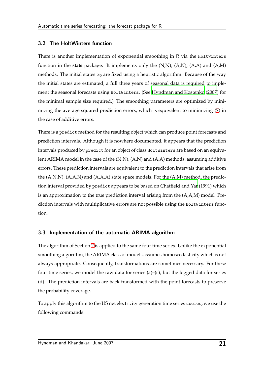#### 3.2 The HoltWinters function

There is another implementation of exponential smoothing in R via the HoltWinters function in the **stats** package. It implements only the (N,N), (A,N), (A,A) and (A,M) methods. The initial states  $x_0$  are fixed using a heuristic algorithm. Because of the way the initial states are estimated, a full three years of seasonal data is required to implement the seasonal forecasts using HoltWinters. (See [Hyndman and Kostenko \(2007\)](#page-30-11) for the minimal sample size required.) The smoothing parameters are optimized by minimizing the average squared prediction errors, which is equivalent to minimizing [\(7\)](#page-13-0) in the case of additive errors.

There is a predict method for the resulting object which can produce point forecasts and prediction intervals. Although it is nowhere documented, it appears that the prediction intervals produced by predict for an object of class HoltWinters are based on an equivalent ARIMA model in the case of the (N,N), (A,N) and (A,A) methods, assuming additive errors. These prediction intervals are equivalent to the prediction intervals that arise from the (A,N,N), (A,A,N) and (A,A,A) state space models. For the (A,M) method, the prediction interval provided by predict appears to be based on [Chatfield and Yar](#page-28-11) [\(1991](#page-28-11)) which is an approximation to the true prediction interval arising from the (A,A,M) model. Prediction intervals with multiplicative errors are not possible using the HoltWinters function.

#### 3.3 Implementation of the automatic ARIMA algorithm

The algorithm of Section [2](#page-15-0) is applied to the same four time series. Unlike the exponential smoothing algorithm, the ARIMA class of models assumes homoscedasticity which is not always appropriate. Consequently, transformations are sometimes necessary. For these four time series, we model the raw data for series (a)–(c), but the logged data for series (d). The prediction intervals are back-transformed with the point forecasts to preserve the probability coverage.

To apply this algorithm to the US net electricity generation time series uselec, we use the following commands.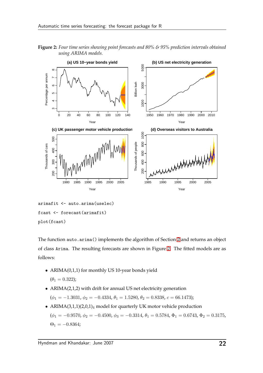<span id="page-23-0"></span>

**Figure 2:** *Four time series showing point forecasts and 80% & 95% prediction intervals obtained using ARIMA models.*

The function auto.arima() implements the algorithm of Section [2](#page-15-0) and returns an object of class Arima. The resulting forecasts are shown in Figure [2.](#page-23-0) The fitted models are as follows:

- ARIMA(0,1,1) for monthly US 10-year bonds yield
	- $(\theta_1 = 0.322)$ ;
- ARIMA(2,1,2) with drift for annual US net electricity generation  $(\phi_1 = -1.3031, \phi_2 = -0.4334, \theta_1 = 1.5280, \theta_2 = 0.8338, c = 66.1473);$
- ARIMA $(3,1,1)(2,0,1)_4$  model for quarterly UK motor vehicle production  $(\phi_1 = -0.9570, \phi_2 = -0.4500, \phi_3 = -0.3314, \theta_1 = 0.5784, \Phi_1 = 0.6743, \Phi_2 = 0.3175,$  $\Theta_1 = -0.8364;$

arimafit <- auto.arima(uselec) fcast <- forecast(arimafit) plot(fcast)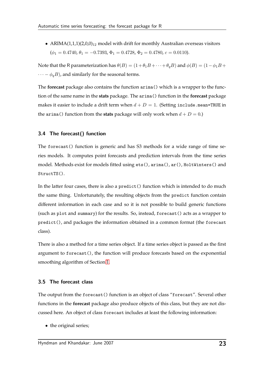• ARIMA $(1,1,1)(2,0,0)_{12}$  model with drift for monthly Australian overseas visitors  $(\phi_1 = 0.4740, \theta_1 = -0.7393, \Phi_1 = 0.4728, \Phi_2 = 0.4780, c = 0.0110).$ 

Note that the R parameterization has  $\theta(B) = (1 + \theta_1 B + \cdots + \theta_q B)$  and  $\phi(B) = (1 - \phi_1 B + \cdots + \phi_q B)$  $\cdots - \phi_a B$ ), and similarly for the seasonal terms.

The **forecast** package also contains the function arima() which is a wrapper to the function of the same name in the **stats** package. The arima() function in the **forecast** package makes it easier to include a drift term when  $d + D = 1$ . (Setting include mean=TRUE in the arima() function from the **stats** package will only work when  $d + D = 0$ .)

#### 3.4 The forecast() function

The forecast() function is generic and has S3 methods for a wide range of time series models. It computes point forecasts and prediction intervals from the time series model. Methods exist for models fitted using ets(), arima(), ar(), HoltWinters() and StructTS().

In the latter four cases, there is also a predict() function which is intended to do much the same thing. Unfortunately, the resulting objects from the predict function contain different information in each case and so it is not possible to build generic functions (such as plot and summary) for the results. So, instead, forecast() acts as a wrapper to predict(), and packages the information obtained in a common format (the forecast class).

There is also a method for a time series object. If a time series object is passed as the first argument to forecast(), the function will produce forecasts based on the exponential smoothing algorithm of Section [1.](#page-3-0)

#### 3.5 The forecast class

The output from the forecast() function is an object of class "forecast". Several other functions in the **forecast** package also produce objects of this class, but they are not discussed here. An object of class forecast includes at least the following information:

• the original series;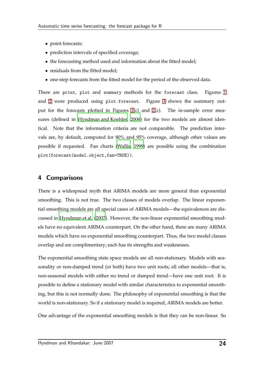- point forecasts;
- prediction intervals of specified coverage;
- the forecasting method used and information about the fitted model;
- residuals from the fitted model;
- one-step forecasts from the fitted model for the period of the observed data.

There are print, plot and summary methods for the forecast class. Figures [1](#page-20-0) and [2](#page-23-0) were produced using plot.forecast. Figure [3](#page-26-0) shows the summary output for the forecasts plotted in Figures [1\(](#page-20-0)c) and [2\(](#page-23-0)c). The in-sample error measures (defined in [Hyndman and Koehler, 2006](#page-29-10)) for the two models are almost identical. Note that the information criteria are not comparable. The prediction intervals are, by default, computed for 80% and 95% coverage, although other values are possible if requested. Fan charts [\(Wallis, 1999](#page-30-12)) are possible using the combination plot(forecast(model.object,fan=TRUE)).

### 4 Comparisons

There is a widespread myth that ARIMA models are more general than exponential smoothing. This is not true. The two classes of models overlap. The linear exponential smoothing models are all special cases of ARIMA models—the equivalences are discussed in [Hyndman et al. \(2007](#page-29-3)). However, the non-linear exponential smoothing models have no equivalent ARIMA counterpart. On the other hand, there are many ARIMA models which have no exponential smoothing counterpart. Thus, the two model classes overlap and are complimentary; each has its strengths and weaknesses.

The exponential smoothing state space models are all non-stationary. Models with seasonality or non-damped trend (or both) have two unit roots; all other models—that is, non-seasonal models with either no trend or damped trend—have one unit root. It is possible to define a stationary model with similar characteristics to exponential smoothing, but this is not normally done. The philosophy of exponential smoothing is that the world is non-stationary. So if a stationary model is required, ARIMA models are better.

One advantage of the exponential smoothing models is that they can be non-linear. So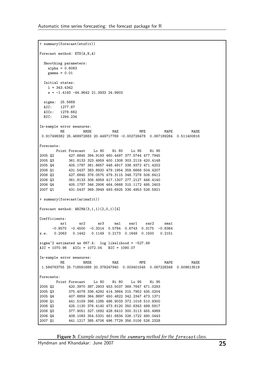```
> summary(forecast(etsfit))
Forecast method: ETS(A,N,A)
 Smoothing parameters:
  alpha = 0.6063gamma = 0.01Initial states:
  l = 343.4342
   s = -1.4193 - 44.9642 21.3933 24.9903sigma: 25.5668
 AIC: 1277.87
 AICc: 1278.662
 BIC: 1294.234
In-sample error measures:
       ME RMSE MAE MPE MAPE MASE
0.917498382 25.469972683 20.449717769 -0.002726478 0.067189284 0.511400816
Forecasts:
     Point Forecast Lo 80 Hi 80 Lo 95 Hi 95
2005 Q2 427.6845 394.9193 460.4497 377.5744 477.7945
2005 Q3 361.8133 323.4959 400.1308 303.2119 420.4148
2005 Q4 405.1787 361.8657 448.4917 338.9372 471.4202
2006 Q1 431.5437 383.8920 479.1954 358.6668 504.4207
2006 Q2 427.6845 376.0575 479.3115 348.7278 506.6412
2006 Q3 361.8133 306.4959 417.1307 277.2127 446.4140
2006 Q4 405.1787 346.2906 464.0668 315.1172 495.2403
2007 Q1 431.5437 369.3949 493.6925 336.4953 526.5921
> summary(forecast(arimafit))
Forecast method: ARIMA(3,1,1)(2,0,1)[4]Coefficients:
       ar1 ar2 ar3 ma1 sar1 sar2 sma1
     -0.9570 -0.4500 -0.3314 0.5784 0.6743 0.3175 -0.8364
s.e. 0.2063 0.1442 0.1149 0.2173 0.1649 0.1500 0.2151
sigma^2 estimated as 667.4: log likelihood = -527.49
AIC = 1070.98 AICc = 1072.04 BIC = 1090.07
In-sample error measures:
       ME RMSE MAE MPE MAPE MASE
1.584763755 25.718591689 20.378247940 0.003401545 0.067228348 0.509613519
Forecasts:
  Point Forecast Lo 80 Hi 80 Lo 95 Hi 95
2005 Q2 420.3970 387.2903 453.5037 369.7647 471.0293
2005 Q3 375.4078 336.4292 414.3864 315.7952 435.0204
2005 Q4 407.6859 364.8897 450.4822 342.2347 473.1371
2006 Q1 441.5159 396.1285 486.9033 372.1018 510.9300
2006 Q2 425.1130 376.4140 473.8120 350.6343 499.5917
           2006 Q3 377.9051 327.1692 428.6410 300.3113 455.4989
2006 Q4 408.1083 354.5331 461.6834 326.1722 490.0443
2007 Q1 441.1217 385.4706 496.7729 356.0106 526.2328
```

```
Figure 3: Example output from the summary method for the forecast class.
```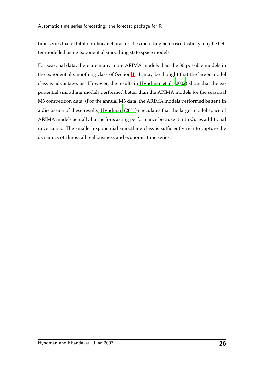time series that exhibit non-linear characteristics including heteroscedasticity may be better modelled using exponential smoothing state space models.

For seasonal data, there are many more ARIMA models than the 30 possible models in the exponential smoothing class of Section [1.](#page-3-0) It may be thought that the larger model class is advantageous. However, the results in [Hyndman et al. \(2002\)](#page-29-1) show that the exponential smoothing models performed better than the ARIMA models for the seasonal M3 competition data. (For the annual M3 data, the ARIMA models performed better.) In a discussion of these results, [Hyndman \(2001](#page-29-11)) speculates that the larger model space of ARIMA models actually harms forecasting performance because it introduces additional uncertainty. The smaller exponential smoothing class is sufficiently rich to capture the dynamics of almost all real business and economic time series.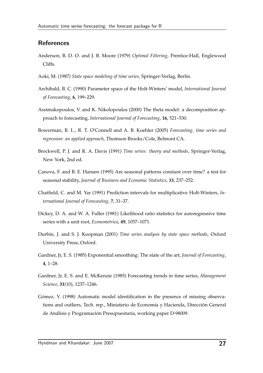### References

- <span id="page-28-4"></span>Anderson, B. D. O. and J. B. Moore (1979) *Optimal Filtering*, Prentice-Hall, Englewood Cliffs.
- <span id="page-28-5"></span>Aoki, M. (1987) *State space modeling of time series*, Springer-Verlag, Berlin.
- Archibald, B. C. (1990) Parameter space of the Holt-Winters' model, *International Journal of Forecasting*, **6**, 199–229.
- <span id="page-28-0"></span>Assimakopoulos, V. and K. Nikolopoulos (2000) The theta model: a decomposition approach to forecasting, *International Journal of Forecasting*, **16**, 521–530.
- <span id="page-28-2"></span>Bowerman, B. L., R. T. O'Connell and A. B. Koehler (2005) *Forecasting, time series and regression: an applied approach*, Thomson Brooks/Cole, Belmont CA.
- <span id="page-28-7"></span>Brockwell, P. J. and R. A. Davis (1991) *Time series: theory and methods*, Springer-Verlag, New York, 2nd ed.
- <span id="page-28-10"></span>Canova, F. and B. E. Hansen (1995) Are seasonal patterns constant over time? a test for seasonal stability, *Journal of Business and Economic Statistics*, **13**, 237–252.
- <span id="page-28-11"></span>Chatfield, C. and M. Yar (1991) Prediction intervals for multiplicative Holt-Winters, *International Journal of Forecasting*, **7**, 31–37.
- <span id="page-28-9"></span>Dickey, D. A. and W. A. Fuller (1981) Likelihood ratio statistics for autoregressive time series with a unit root, *Econometrica*, **49**, 1057–1071.
- <span id="page-28-8"></span>Durbin, J. and S. J. Koopman (2001) *Time series analysis by state space methods*, Oxford University Press, Oxford.
- <span id="page-28-1"></span>Gardner, Jr, E. S. (1985) Exponential smoothing: The state of the art, *Journal of Forecasting*, **4**, 1–28.
- <span id="page-28-3"></span>Gardner, Jr, E. S. and E. McKenzie (1985) Forecasting trends in time series, *Management Science*, **31**(10), 1237–1246.
- <span id="page-28-6"></span>Gómez, V. (1998) Automatic model identification in the presence of missing observations and outliers, Tech. rep., Ministerio de Economía y Hacienda, Dirección General de Análisis y Programación Presupuestaria, working paper D-98009.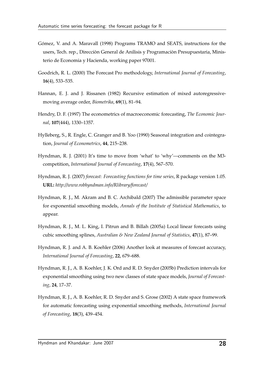- <span id="page-29-5"></span>Gómez, V. and A. Maravall (1998) Programs TRAMO and SEATS, instructions for the users, Tech. rep., Direcciòn General de Anilisis y Programaciòn Presupuestaria, Ministerio de Economia y Hacienda, working paper 97001.
- <span id="page-29-6"></span>Goodrich, R. L. (2000) The Forecast Pro methodology, *International Journal of Forecasting*, **16**(4), 533–535.
- <span id="page-29-4"></span>Hannan, E. J. and J. Rissanen (1982) Recursive estimation of mixed autoregressivemoving average order, *Biometrika*, **69**(1), 81–94.
- <span id="page-29-7"></span>Hendry, D. F. (1997) The econometrics of macroeconomic forecasting, *The Economic Journal*, **107**(444), 1330–1357.
- <span id="page-29-8"></span>Hylleberg, S., R. Engle, C. Granger and B. Yoo (1990) Seasonal integration and cointegration, *Journal of Econometrics*, **44**, 215–238.
- <span id="page-29-11"></span>Hyndman, R. J. (2001) It's time to move from 'what' to 'why'—comments on the M3 competition, *International Journal of Forecasting*, **17**(4), 567–570.
- <span id="page-29-9"></span>Hyndman, R. J. (2007) *forecast: Forecasting functions for time series*, R package version 1.05. **URL:** *http://www.robhyndman.info/Rlibrary/forecast/*
- <span id="page-29-3"></span>Hyndman, R. J., M. Akram and B. C. Archibald (2007) The admissible parameter space for exponential smoothing models, *Annals of the Institute of Statistical Mathematics*, to appear.
- <span id="page-29-0"></span>Hyndman, R. J., M. L. King, I. Pitrun and B. Billah (2005a) Local linear forecasts using cubic smoothing splines, *Australian & New Zealand Journal of Statistics*, **47**(1), 87–99.
- <span id="page-29-10"></span>Hyndman, R. J. and A. B. Koehler (2006) Another look at measures of forecast accuracy, *International Journal of Forecasting*, **22**, 679–688.
- <span id="page-29-2"></span>Hyndman, R. J., A. B. Koehler, J. K. Ord and R. D. Snyder (2005b) Prediction intervals for exponential smoothing using two new classes of state space models, *Journal of Forecasting*, **24**, 17–37.
- <span id="page-29-1"></span>Hyndman, R. J., A. B. Koehler, R. D. Snyder and S. Grose (2002) A state space framework for automatic forecasting using exponential smoothing methods, *International Journal of Forecasting*, **18**(3), 439–454.